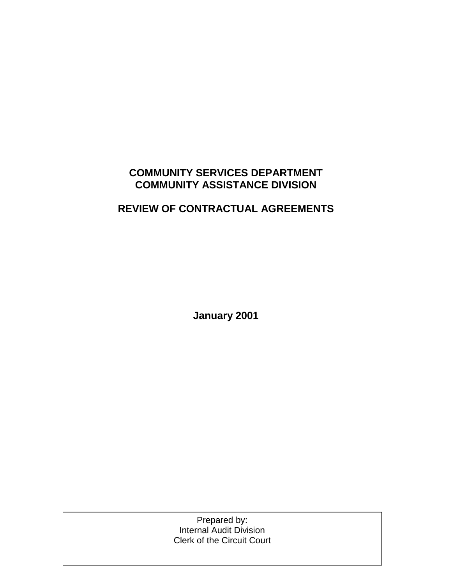## **COMMUNITY SERVICES DEPARTMENT COMMUNITY ASSISTANCE DIVISION**

## **REVIEW OF CONTRACTUAL AGREEMENTS**

**January 2001**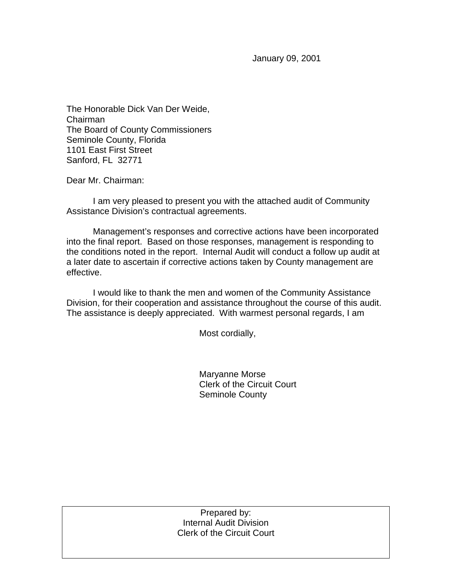January 09, 2001

The Honorable Dick Van Der Weide, Chairman The Board of County Commissioners Seminole County, Florida 1101 East First Street Sanford, FL 32771

Dear Mr. Chairman:

 I am very pleased to present you with the attached audit of Community Assistance Division's contractual agreements.

 Management's responses and corrective actions have been incorporated into the final report. Based on those responses, management is responding to the conditions noted in the report. Internal Audit will conduct a follow up audit at a later date to ascertain if corrective actions taken by County management are effective.

I would like to thank the men and women of the Community Assistance Division, for their cooperation and assistance throughout the course of this audit. The assistance is deeply appreciated. With warmest personal regards, I am

Most cordially,

 Maryanne Morse Clerk of the Circuit Court Seminole County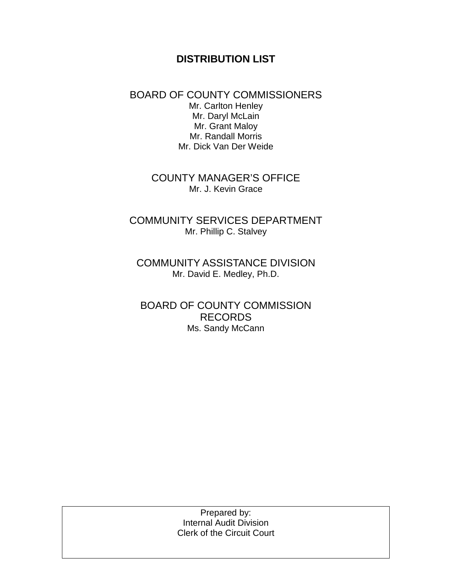### **DISTRIBUTION LIST**

### BOARD OF COUNTY COMMISSIONERS Mr. Carlton Henley Mr. Daryl McLain Mr. Grant Maloy Mr. Randall Morris Mr. Dick Van Der Weide

COUNTY MANAGER'S OFFICE Mr. J. Kevin Grace

COMMUNITY SERVICES DEPARTMENT Mr. Phillip C. Stalvey

COMMUNITY ASSISTANCE DIVISION Mr. David E. Medley, Ph.D.

BOARD OF COUNTY COMMISSION RECORDS Ms. Sandy McCann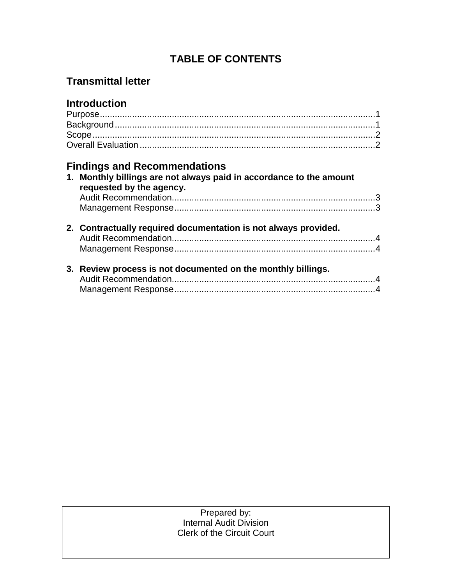## **TABLE OF CONTENTS**

## **Transmittal letter**

## **Introduction**

# **Findings and Recommendations**

|  | 1. Monthly billings are not always paid in accordance to the amount<br>requested by the agency. |  |
|--|-------------------------------------------------------------------------------------------------|--|
|  |                                                                                                 |  |
|  |                                                                                                 |  |
|  | 2. Contractually required documentation is not always provided.                                 |  |
|  |                                                                                                 |  |
|  |                                                                                                 |  |
|  | 3. Review process is not documented on the monthly billings.                                    |  |
|  |                                                                                                 |  |
|  |                                                                                                 |  |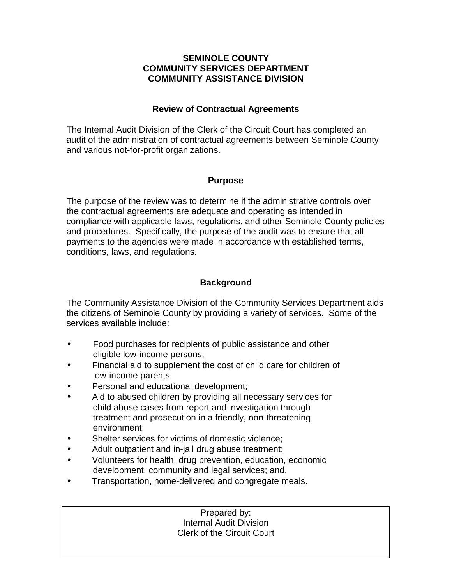#### **SEMINOLE COUNTY COMMUNITY SERVICES DEPARTMENT COMMUNITY ASSISTANCE DIVISION**

### **Review of Contractual Agreements**

The Internal Audit Division of the Clerk of the Circuit Court has completed an audit of the administration of contractual agreements between Seminole County and various not-for-profit organizations.

#### **Purpose**

The purpose of the review was to determine if the administrative controls over the contractual agreements are adequate and operating as intended in compliance with applicable laws, regulations, and other Seminole County policies and procedures. Specifically, the purpose of the audit was to ensure that all payments to the agencies were made in accordance with established terms, conditions, laws, and regulations.

### **Background**

The Community Assistance Division of the Community Services Department aids the citizens of Seminole County by providing a variety of services. Some of the services available include:

- Food purchases for recipients of public assistance and other eligible low-income persons;
- Financial aid to supplement the cost of child care for children of low-income parents;
- Personal and educational development;
- Aid to abused children by providing all necessary services for child abuse cases from report and investigation through treatment and prosecution in a friendly, non-threatening environment;
- Shelter services for victims of domestic violence:
- Adult outpatient and in-jail drug abuse treatment;
- Volunteers for health, drug prevention, education, economic development, community and legal services; and,
- Transportation, home-delivered and congregate meals.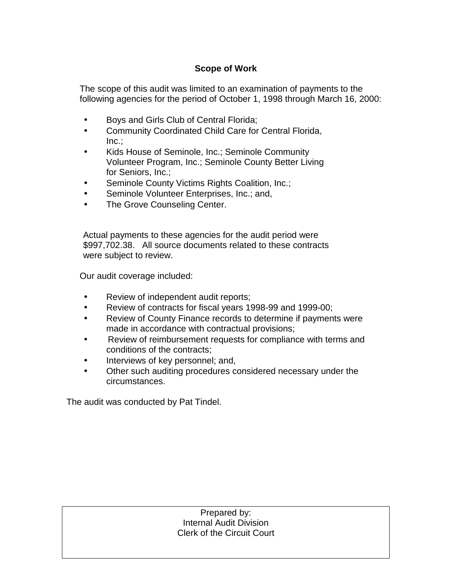### **Scope of Work**

The scope of this audit was limited to an examination of payments to the following agencies for the period of October 1, 1998 through March 16, 2000:

- Boys and Girls Club of Central Florida;
- Community Coordinated Child Care for Central Florida, Inc.;
- Kids House of Seminole, Inc.; Seminole Community Volunteer Program, Inc.; Seminole County Better Living for Seniors, Inc.;
- Seminole County Victims Rights Coalition, Inc.;
- Seminole Volunteer Enterprises, Inc.; and,
- The Grove Counseling Center.

Actual payments to these agencies for the audit period were \$997,702.38. All source documents related to these contracts were subject to review.

Our audit coverage included:

- Review of independent audit reports;
- Review of contracts for fiscal years 1998-99 and 1999-00;
- Review of County Finance records to determine if payments were made in accordance with contractual provisions;
- Review of reimbursement requests for compliance with terms and conditions of the contracts;
- Interviews of key personnel; and,
- Other such auditing procedures considered necessary under the circumstances.

The audit was conducted by Pat Tindel.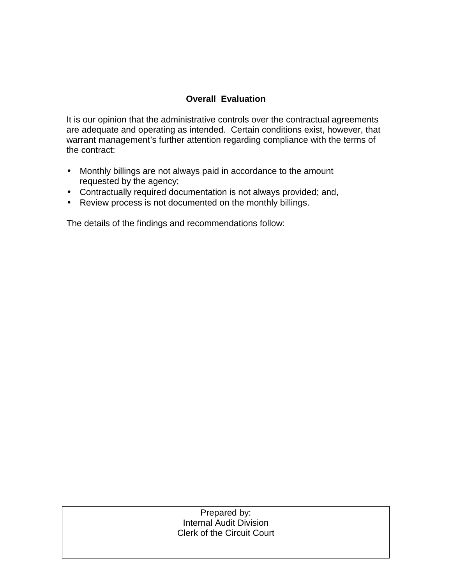### **Overall Evaluation**

It is our opinion that the administrative controls over the contractual agreements are adequate and operating as intended. Certain conditions exist, however, that warrant management's further attention regarding compliance with the terms of the contract:

- Monthly billings are not always paid in accordance to the amount requested by the agency;
- Contractually required documentation is not always provided; and,
- Review process is not documented on the monthly billings.

The details of the findings and recommendations follow: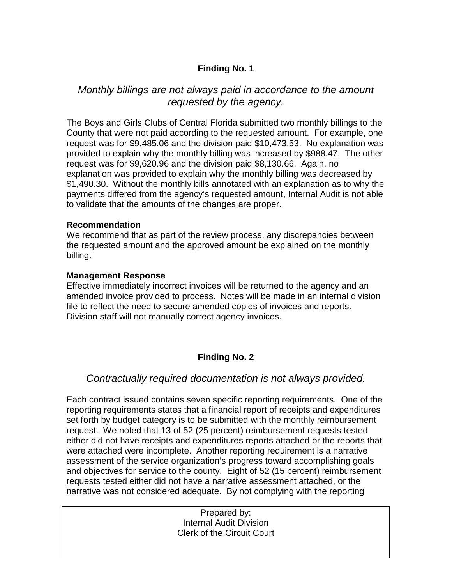### **Finding No. 1**

### *Monthly billings are not always paid in accordance to the amount requested by the agency.*

The Boys and Girls Clubs of Central Florida submitted two monthly billings to the County that were not paid according to the requested amount. For example, one request was for \$9,485.06 and the division paid \$10,473.53. No explanation was provided to explain why the monthly billing was increased by \$988.47. The other request was for \$9,620.96 and the division paid \$8,130.66. Again, no explanation was provided to explain why the monthly billing was decreased by \$1,490.30. Without the monthly bills annotated with an explanation as to why the payments differed from the agency's requested amount, Internal Audit is not able to validate that the amounts of the changes are proper.

#### **Recommendation**

We recommend that as part of the review process, any discrepancies between the requested amount and the approved amount be explained on the monthly billing.

### **Management Response**

Effective immediately incorrect invoices will be returned to the agency and an amended invoice provided to process. Notes will be made in an internal division file to reflect the need to secure amended copies of invoices and reports. Division staff will not manually correct agency invoices.

### **Finding No. 2**

### *Contractually required documentation is not always provided.*

Each contract issued contains seven specific reporting requirements. One of the reporting requirements states that a financial report of receipts and expenditures set forth by budget category is to be submitted with the monthly reimbursement request. We noted that 13 of 52 (25 percent) reimbursement requests tested either did not have receipts and expenditures reports attached or the reports that were attached were incomplete. Another reporting requirement is a narrative assessment of the service organization's progress toward accomplishing goals and objectives for service to the county. Eight of 52 (15 percent) reimbursement requests tested either did not have a narrative assessment attached, or the narrative was not considered adequate. By not complying with the reporting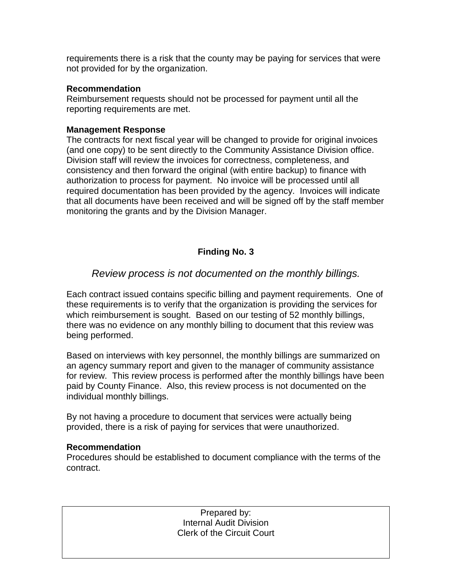requirements there is a risk that the county may be paying for services that were not provided for by the organization.

#### **Recommendation**

Reimbursement requests should not be processed for payment until all the reporting requirements are met.

#### **Management Response**

The contracts for next fiscal year will be changed to provide for original invoices (and one copy) to be sent directly to the Community Assistance Division office. Division staff will review the invoices for correctness, completeness, and consistency and then forward the original (with entire backup) to finance with authorization to process for payment. No invoice will be processed until all required documentation has been provided by the agency. Invoices will indicate that all documents have been received and will be signed off by the staff member monitoring the grants and by the Division Manager.

### **Finding No. 3**

### *Review process is not documented on the monthly billings.*

Each contract issued contains specific billing and payment requirements. One of these requirements is to verify that the organization is providing the services for which reimbursement is sought. Based on our testing of 52 monthly billings, there was no evidence on any monthly billing to document that this review was being performed.

Based on interviews with key personnel, the monthly billings are summarized on an agency summary report and given to the manager of community assistance for review. This review process is performed after the monthly billings have been paid by County Finance. Also, this review process is not documented on the individual monthly billings.

By not having a procedure to document that services were actually being provided, there is a risk of paying for services that were unauthorized.

#### **Recommendation**

Procedures should be established to document compliance with the terms of the contract.